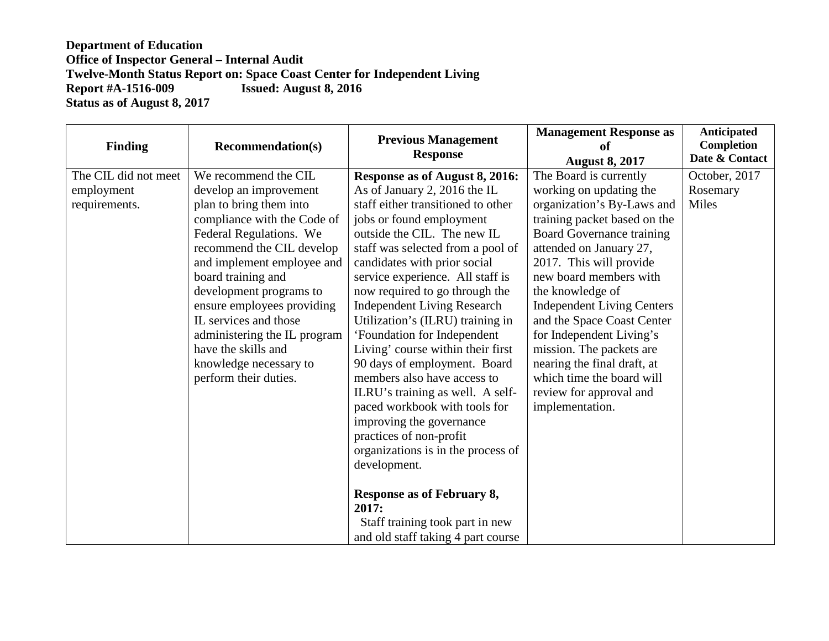| <b>Finding</b>                                      | <b>Recommendation(s)</b>                                                                                                                                                                                                                                                                                                                                                                                         | <b>Previous Management</b><br><b>Response</b>                                                                                                                                                                                                                                                                                                                                                                                                                                                                                                                                                                                                                                                                                                                                                                                    | <b>Management Response as</b><br>of<br><b>August 8, 2017</b>                                                                                                                                                                                                                                                                                                                                                                                                                                 | Anticipated<br><b>Completion</b><br>Date & Contact |
|-----------------------------------------------------|------------------------------------------------------------------------------------------------------------------------------------------------------------------------------------------------------------------------------------------------------------------------------------------------------------------------------------------------------------------------------------------------------------------|----------------------------------------------------------------------------------------------------------------------------------------------------------------------------------------------------------------------------------------------------------------------------------------------------------------------------------------------------------------------------------------------------------------------------------------------------------------------------------------------------------------------------------------------------------------------------------------------------------------------------------------------------------------------------------------------------------------------------------------------------------------------------------------------------------------------------------|----------------------------------------------------------------------------------------------------------------------------------------------------------------------------------------------------------------------------------------------------------------------------------------------------------------------------------------------------------------------------------------------------------------------------------------------------------------------------------------------|----------------------------------------------------|
| The CIL did not meet<br>employment<br>requirements. | We recommend the CIL<br>develop an improvement<br>plan to bring them into<br>compliance with the Code of<br>Federal Regulations. We<br>recommend the CIL develop<br>and implement employee and<br>board training and<br>development programs to<br>ensure employees providing<br>IL services and those<br>administering the IL program<br>have the skills and<br>knowledge necessary to<br>perform their duties. | Response as of August 8, 2016:<br>As of January 2, 2016 the IL<br>staff either transitioned to other<br>jobs or found employment<br>outside the CIL. The new IL<br>staff was selected from a pool of<br>candidates with prior social<br>service experience. All staff is<br>now required to go through the<br><b>Independent Living Research</b><br>Utilization's (ILRU) training in<br>'Foundation for Independent<br>Living' course within their first<br>90 days of employment. Board<br>members also have access to<br>ILRU's training as well. A self-<br>paced workbook with tools for<br>improving the governance<br>practices of non-profit<br>organizations is in the process of<br>development.<br><b>Response as of February 8,</b><br>2017:<br>Staff training took part in new<br>and old staff taking 4 part course | The Board is currently<br>working on updating the<br>organization's By-Laws and<br>training packet based on the<br><b>Board Governance training</b><br>attended on January 27,<br>2017. This will provide<br>new board members with<br>the knowledge of<br><b>Independent Living Centers</b><br>and the Space Coast Center<br>for Independent Living's<br>mission. The packets are<br>nearing the final draft, at<br>which time the board will<br>review for approval and<br>implementation. | October, 2017<br>Rosemary<br>Miles                 |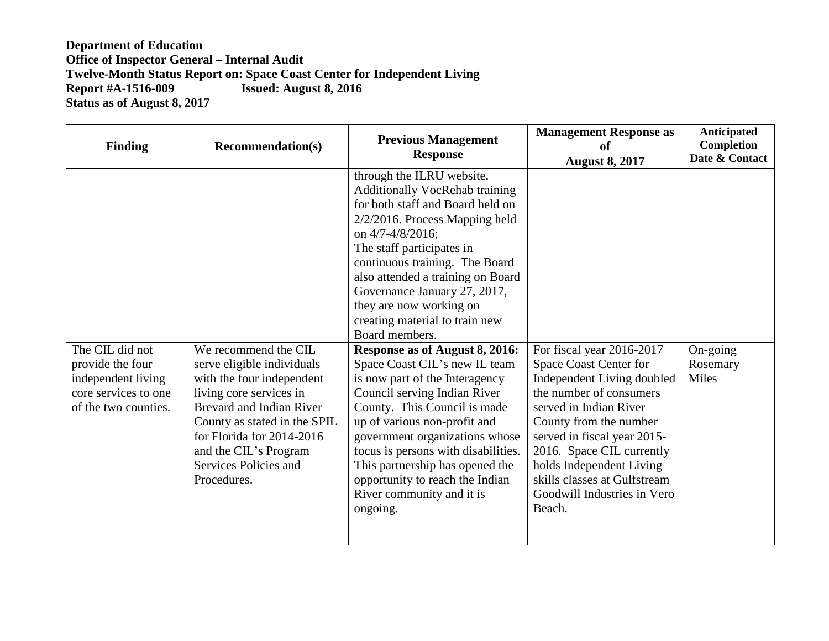| <b>Finding</b>                                                                                            | <b>Recommendation(s)</b>                                                                                                                                                                                                                                                    | <b>Previous Management</b><br><b>Response</b>                                                                                                                                                                                                                                                                                                                                                                                                                                                                                                                                                                                                                                                                                                                                   | <b>Management Response as</b><br>of<br><b>August 8, 2017</b>                                                                                                                                                                                                                                                                      | <b>Anticipated</b><br>Completion<br>Date & Contact |
|-----------------------------------------------------------------------------------------------------------|-----------------------------------------------------------------------------------------------------------------------------------------------------------------------------------------------------------------------------------------------------------------------------|---------------------------------------------------------------------------------------------------------------------------------------------------------------------------------------------------------------------------------------------------------------------------------------------------------------------------------------------------------------------------------------------------------------------------------------------------------------------------------------------------------------------------------------------------------------------------------------------------------------------------------------------------------------------------------------------------------------------------------------------------------------------------------|-----------------------------------------------------------------------------------------------------------------------------------------------------------------------------------------------------------------------------------------------------------------------------------------------------------------------------------|----------------------------------------------------|
| The CIL did not<br>provide the four<br>independent living<br>core services to one<br>of the two counties. | We recommend the CIL<br>serve eligible individuals<br>with the four independent<br>living core services in<br><b>Brevard and Indian River</b><br>County as stated in the SPIL<br>for Florida for 2014-2016<br>and the CIL's Program<br>Services Policies and<br>Procedures. | through the ILRU website.<br><b>Additionally VocRehab training</b><br>for both staff and Board held on<br>$2/2/2016$ . Process Mapping held<br>on 4/7-4/8/2016;<br>The staff participates in<br>continuous training. The Board<br>also attended a training on Board<br>Governance January 27, 2017,<br>they are now working on<br>creating material to train new<br>Board members.<br>Response as of August 8, 2016:<br>Space Coast CIL's new IL team<br>is now part of the Interagency<br>Council serving Indian River<br>County. This Council is made<br>up of various non-profit and<br>government organizations whose<br>focus is persons with disabilities.<br>This partnership has opened the<br>opportunity to reach the Indian<br>River community and it is<br>ongoing. | For fiscal year 2016-2017<br>Space Coast Center for<br>Independent Living doubled<br>the number of consumers<br>served in Indian River<br>County from the number<br>served in fiscal year 2015-<br>2016. Space CIL currently<br>holds Independent Living<br>skills classes at Gulfstream<br>Goodwill Industries in Vero<br>Beach. | On-going<br>Rosemary<br>Miles                      |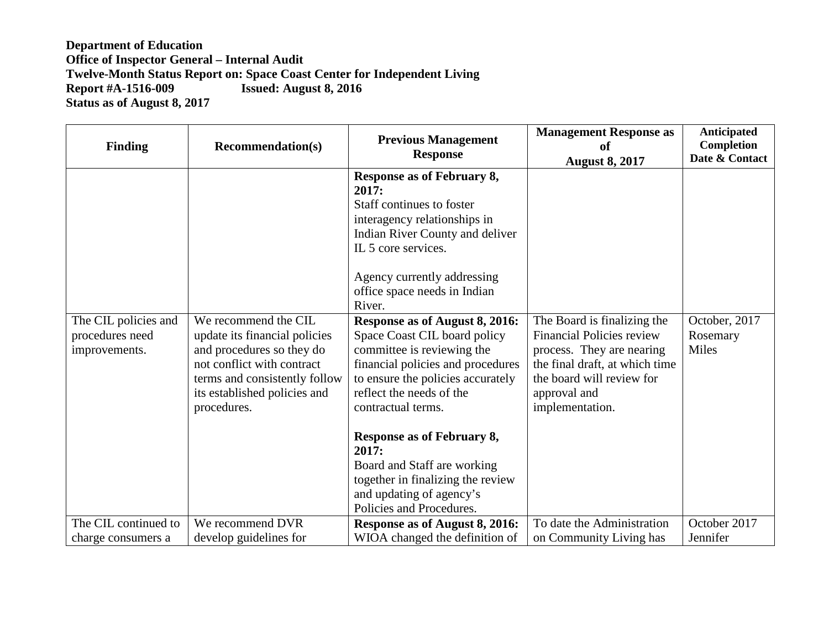| <b>Finding</b>                                           | <b>Recommendation(s)</b>                                                                                                                                                                         | <b>Previous Management</b><br><b>Response</b>                                                                                                                                                                                                                                                                                                                                               | <b>Management Response as</b><br>of                                                                                                                                                            | <b>Anticipated</b><br>Completion<br>Date & Contact |
|----------------------------------------------------------|--------------------------------------------------------------------------------------------------------------------------------------------------------------------------------------------------|---------------------------------------------------------------------------------------------------------------------------------------------------------------------------------------------------------------------------------------------------------------------------------------------------------------------------------------------------------------------------------------------|------------------------------------------------------------------------------------------------------------------------------------------------------------------------------------------------|----------------------------------------------------|
|                                                          |                                                                                                                                                                                                  | Response as of February 8,<br>2017:<br>Staff continues to foster<br>interagency relationships in<br>Indian River County and deliver<br>IL 5 core services.<br>Agency currently addressing<br>office space needs in Indian<br>River.                                                                                                                                                         | <b>August 8, 2017</b>                                                                                                                                                                          |                                                    |
| The CIL policies and<br>procedures need<br>improvements. | We recommend the CIL<br>update its financial policies<br>and procedures so they do<br>not conflict with contract<br>terms and consistently follow<br>its established policies and<br>procedures. | Response as of August 8, 2016:<br>Space Coast CIL board policy<br>committee is reviewing the<br>financial policies and procedures<br>to ensure the policies accurately<br>reflect the needs of the<br>contractual terms.<br>Response as of February 8,<br>2017:<br>Board and Staff are working<br>together in finalizing the review<br>and updating of agency's<br>Policies and Procedures. | The Board is finalizing the<br><b>Financial Policies review</b><br>process. They are nearing<br>the final draft, at which time<br>the board will review for<br>approval and<br>implementation. | October, 2017<br>Rosemary<br>Miles                 |
| The CIL continued to<br>charge consumers a               | We recommend DVR<br>develop guidelines for                                                                                                                                                       | Response as of August 8, 2016:<br>WIOA changed the definition of                                                                                                                                                                                                                                                                                                                            | To date the Administration<br>on Community Living has                                                                                                                                          | October 2017<br>Jennifer                           |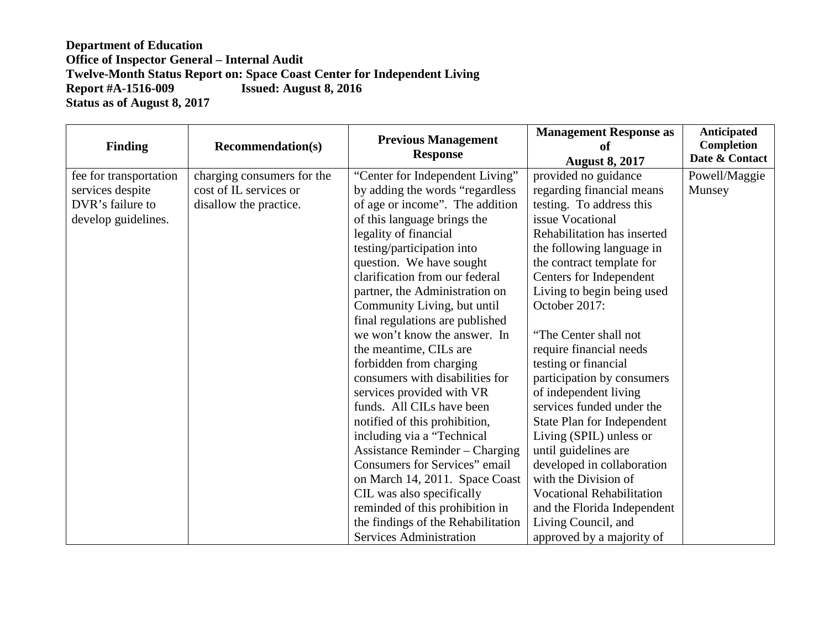| <b>Finding</b>         | <b>Recommendation(s)</b>   | <b>Previous Management</b><br><b>Response</b> | <b>Management Response as</b><br>of<br><b>August 8, 2017</b> | <b>Anticipated</b><br><b>Completion</b><br>Date & Contact |
|------------------------|----------------------------|-----------------------------------------------|--------------------------------------------------------------|-----------------------------------------------------------|
| fee for transportation | charging consumers for the | "Center for Independent Living"               | provided no guidance                                         | Powell/Maggie                                             |
| services despite       | cost of IL services or     | by adding the words "regardless"              | regarding financial means                                    | Munsey                                                    |
| DVR's failure to       | disallow the practice.     | of age or income". The addition               | testing. To address this                                     |                                                           |
| develop guidelines.    |                            | of this language brings the                   | issue Vocational                                             |                                                           |
|                        |                            | legality of financial                         | Rehabilitation has inserted                                  |                                                           |
|                        |                            | testing/participation into                    | the following language in                                    |                                                           |
|                        |                            | question. We have sought                      | the contract template for                                    |                                                           |
|                        |                            | clarification from our federal                | Centers for Independent                                      |                                                           |
|                        |                            | partner, the Administration on                | Living to begin being used                                   |                                                           |
|                        |                            | Community Living, but until                   | October 2017:                                                |                                                           |
|                        |                            | final regulations are published               |                                                              |                                                           |
|                        |                            | we won't know the answer. In                  | "The Center shall not                                        |                                                           |
|                        |                            | the meantime, CILs are                        | require financial needs                                      |                                                           |
|                        |                            | forbidden from charging                       | testing or financial                                         |                                                           |
|                        |                            | consumers with disabilities for               | participation by consumers                                   |                                                           |
|                        |                            | services provided with VR                     | of independent living                                        |                                                           |
|                        |                            | funds. All CILs have been                     | services funded under the                                    |                                                           |
|                        |                            | notified of this prohibition,                 | State Plan for Independent                                   |                                                           |
|                        |                            | including via a "Technical"                   | Living (SPIL) unless or                                      |                                                           |
|                        |                            | <b>Assistance Reminder – Charging</b>         | until guidelines are                                         |                                                           |
|                        |                            | Consumers for Services" email                 | developed in collaboration                                   |                                                           |
|                        |                            | on March 14, 2011. Space Coast                | with the Division of                                         |                                                           |
|                        |                            | CIL was also specifically                     | <b>Vocational Rehabilitation</b>                             |                                                           |
|                        |                            | reminded of this prohibition in               | and the Florida Independent                                  |                                                           |
|                        |                            | the findings of the Rehabilitation            | Living Council, and                                          |                                                           |
|                        |                            | <b>Services Administration</b>                | approved by a majority of                                    |                                                           |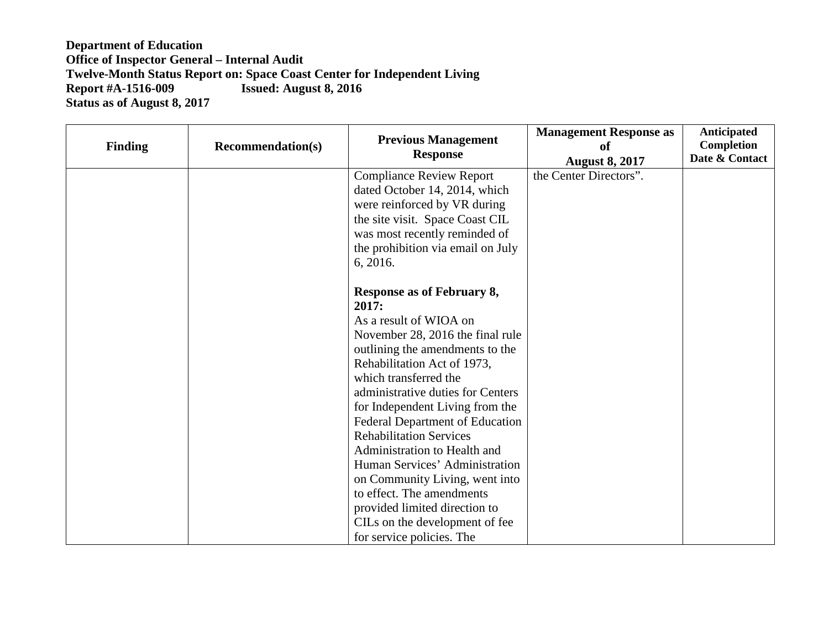| <b>Finding</b> | <b>Recommendation(s)</b> | <b>Previous Management</b><br><b>Response</b>                      | <b>Management Response as</b><br>of<br><b>August 8, 2017</b> | <b>Anticipated</b><br>Completion<br>Date & Contact |
|----------------|--------------------------|--------------------------------------------------------------------|--------------------------------------------------------------|----------------------------------------------------|
|                |                          | <b>Compliance Review Report</b><br>dated October 14, 2014, which   | the Center Directors".                                       |                                                    |
|                |                          | were reinforced by VR during                                       |                                                              |                                                    |
|                |                          | the site visit. Space Coast CIL                                    |                                                              |                                                    |
|                |                          | was most recently reminded of<br>the prohibition via email on July |                                                              |                                                    |
|                |                          | 6, 2016.                                                           |                                                              |                                                    |
|                |                          |                                                                    |                                                              |                                                    |
|                |                          | Response as of February 8,<br>2017:                                |                                                              |                                                    |
|                |                          | As a result of WIOA on                                             |                                                              |                                                    |
|                |                          | November 28, 2016 the final rule                                   |                                                              |                                                    |
|                |                          | outlining the amendments to the                                    |                                                              |                                                    |
|                |                          | Rehabilitation Act of 1973,<br>which transferred the               |                                                              |                                                    |
|                |                          | administrative duties for Centers                                  |                                                              |                                                    |
|                |                          | for Independent Living from the                                    |                                                              |                                                    |
|                |                          | <b>Federal Department of Education</b>                             |                                                              |                                                    |
|                |                          | <b>Rehabilitation Services</b>                                     |                                                              |                                                    |
|                |                          | Administration to Health and                                       |                                                              |                                                    |
|                |                          | Human Services' Administration                                     |                                                              |                                                    |
|                |                          | on Community Living, went into                                     |                                                              |                                                    |
|                |                          | to effect. The amendments                                          |                                                              |                                                    |
|                |                          | provided limited direction to                                      |                                                              |                                                    |
|                |                          | CILs on the development of fee                                     |                                                              |                                                    |
|                |                          | for service policies. The                                          |                                                              |                                                    |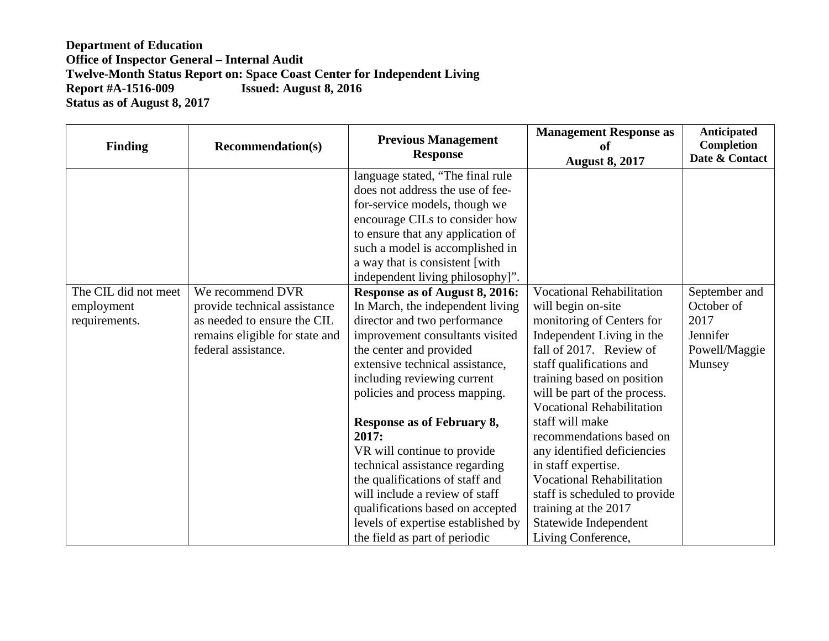| <b>Finding</b>                                      | <b>Recommendation(s)</b>                                                                                                                 | <b>Previous Management</b><br><b>Response</b>                                                                                                                                                                                                                                                                                                                                                                                                                                                                                                                                                                                                                                                                                                                                        | <b>Management Response as</b><br>of                                                                                                                                                                                                                                                                                                                                                                                                                                                                  | <b>Anticipated</b><br>Completion<br>Date & Contact                         |
|-----------------------------------------------------|------------------------------------------------------------------------------------------------------------------------------------------|--------------------------------------------------------------------------------------------------------------------------------------------------------------------------------------------------------------------------------------------------------------------------------------------------------------------------------------------------------------------------------------------------------------------------------------------------------------------------------------------------------------------------------------------------------------------------------------------------------------------------------------------------------------------------------------------------------------------------------------------------------------------------------------|------------------------------------------------------------------------------------------------------------------------------------------------------------------------------------------------------------------------------------------------------------------------------------------------------------------------------------------------------------------------------------------------------------------------------------------------------------------------------------------------------|----------------------------------------------------------------------------|
| The CIL did not meet<br>employment<br>requirements. | We recommend DVR<br>provide technical assistance<br>as needed to ensure the CIL<br>remains eligible for state and<br>federal assistance. | language stated, "The final rule<br>does not address the use of fee-<br>for-service models, though we<br>encourage CILs to consider how<br>to ensure that any application of<br>such a model is accomplished in<br>a way that is consistent [with<br>independent living philosophy]".<br>Response as of August 8, 2016:<br>In March, the independent living<br>director and two performance<br>improvement consultants visited<br>the center and provided<br>extensive technical assistance,<br>including reviewing current<br>policies and process mapping.<br><b>Response as of February 8,</b><br>2017:<br>VR will continue to provide<br>technical assistance regarding<br>the qualifications of staff and<br>will include a review of staff<br>qualifications based on accepted | <b>August 8, 2017</b><br><b>Vocational Rehabilitation</b><br>will begin on-site<br>monitoring of Centers for<br>Independent Living in the<br>fall of 2017. Review of<br>staff qualifications and<br>training based on position<br>will be part of the process.<br><b>Vocational Rehabilitation</b><br>staff will make<br>recommendations based on<br>any identified deficiencies<br>in staff expertise.<br><b>Vocational Rehabilitation</b><br>staff is scheduled to provide<br>training at the 2017 | September and<br>October of<br>2017<br>Jennifer<br>Powell/Maggie<br>Munsey |
|                                                     |                                                                                                                                          | levels of expertise established by<br>the field as part of periodic                                                                                                                                                                                                                                                                                                                                                                                                                                                                                                                                                                                                                                                                                                                  | Statewide Independent<br>Living Conference,                                                                                                                                                                                                                                                                                                                                                                                                                                                          |                                                                            |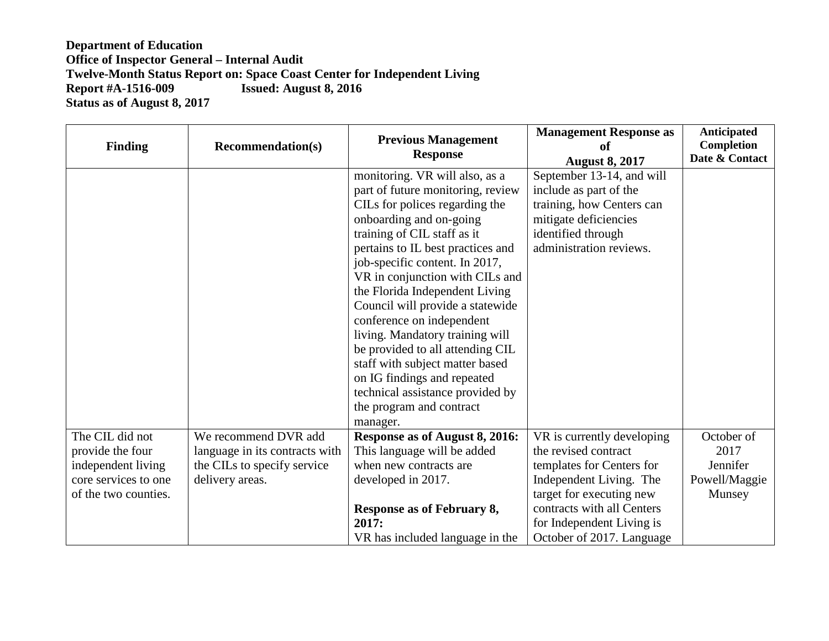| <b>Finding</b>                                                                                            | <b>Recommendation(s)</b>                                                                                 | <b>Previous Management</b><br><b>Response</b>                                                                                                                                                                                                                                                                                                                                                                                                                                                                                                                                                     | <b>Management Response as</b><br>of<br><b>August 8, 2017</b>                                                                                                                                                                   | <b>Anticipated</b><br>Completion<br>Date & Contact        |
|-----------------------------------------------------------------------------------------------------------|----------------------------------------------------------------------------------------------------------|---------------------------------------------------------------------------------------------------------------------------------------------------------------------------------------------------------------------------------------------------------------------------------------------------------------------------------------------------------------------------------------------------------------------------------------------------------------------------------------------------------------------------------------------------------------------------------------------------|--------------------------------------------------------------------------------------------------------------------------------------------------------------------------------------------------------------------------------|-----------------------------------------------------------|
|                                                                                                           |                                                                                                          | monitoring. VR will also, as a<br>part of future monitoring, review<br>CILs for polices regarding the<br>onboarding and on-going<br>training of CIL staff as it<br>pertains to IL best practices and<br>job-specific content. In 2017,<br>VR in conjunction with CILs and<br>the Florida Independent Living<br>Council will provide a statewide<br>conference on independent<br>living. Mandatory training will<br>be provided to all attending CIL<br>staff with subject matter based<br>on IG findings and repeated<br>technical assistance provided by<br>the program and contract<br>manager. | September 13-14, and will<br>include as part of the<br>training, how Centers can<br>mitigate deficiencies<br>identified through<br>administration reviews.                                                                     |                                                           |
| The CIL did not<br>provide the four<br>independent living<br>core services to one<br>of the two counties. | We recommend DVR add<br>language in its contracts with<br>the CILs to specify service<br>delivery areas. | Response as of August 8, 2016:<br>This language will be added<br>when new contracts are<br>developed in 2017.<br><b>Response as of February 8,</b><br>2017:<br>VR has included language in the                                                                                                                                                                                                                                                                                                                                                                                                    | VR is currently developing<br>the revised contract<br>templates for Centers for<br>Independent Living. The<br>target for executing new<br>contracts with all Centers<br>for Independent Living is<br>October of 2017. Language | October of<br>2017<br>Jennifer<br>Powell/Maggie<br>Munsey |